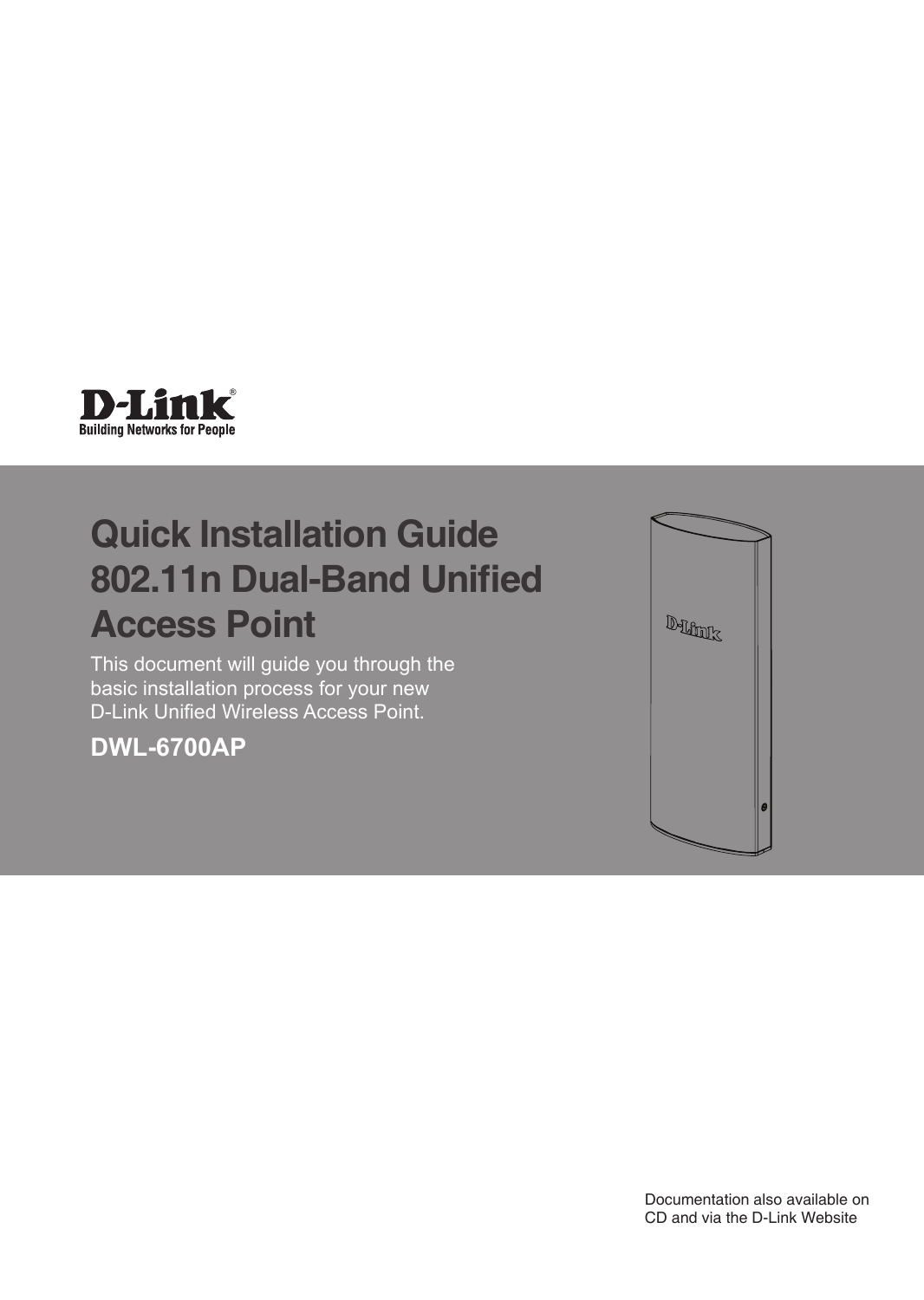

# **Quick Installation Guide 802.11n Dual-Band Unified Access Point**

This document will guide you through the basic installation process for your new D-Link Unified Wireless Access Point.

**DWL-6700AP**



Documentation also available on CD and via the D-Link Website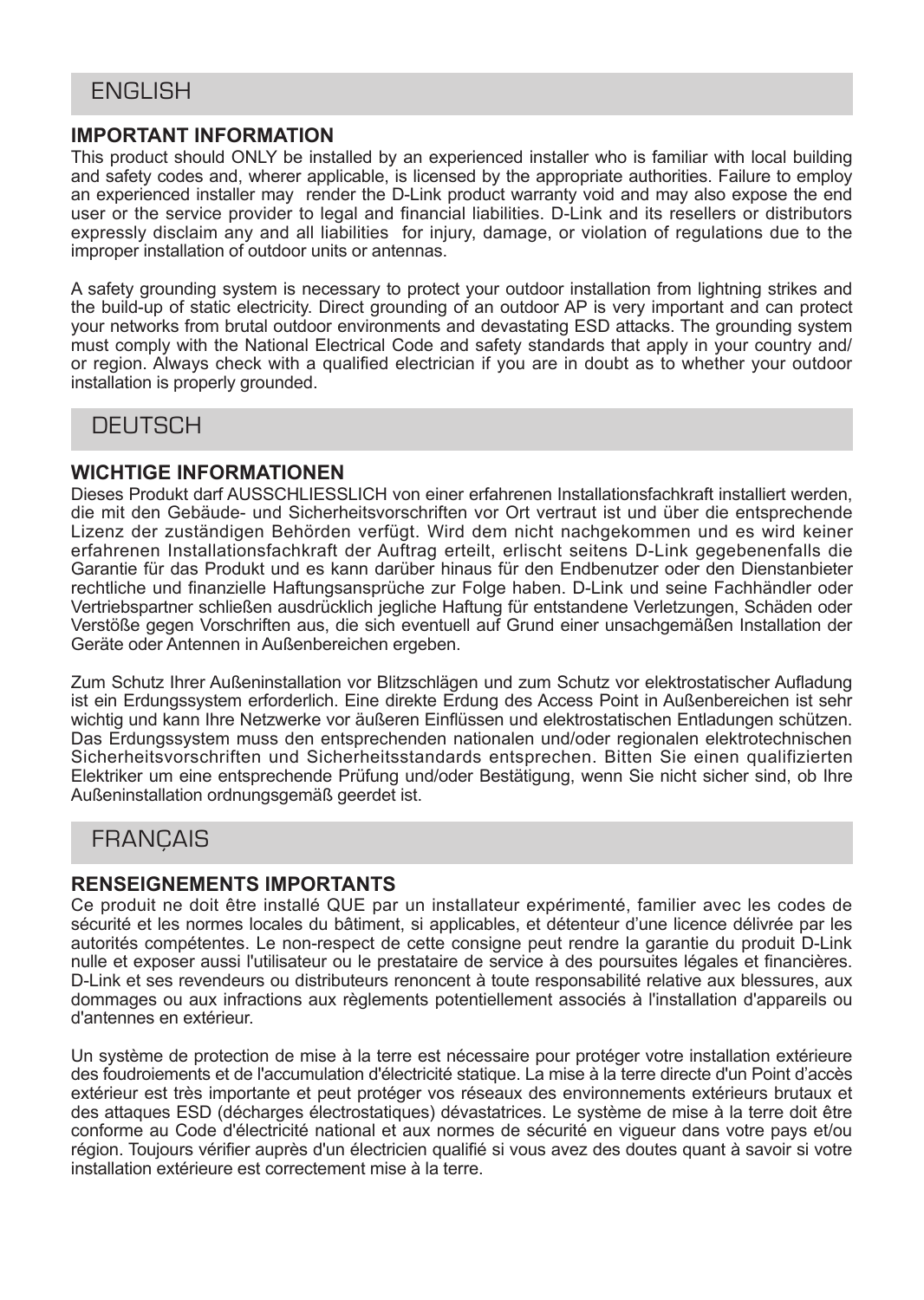## **ENGLISH**

#### **IMPORTANT INFORMATION**

This product should ONLY be installed by an experienced installer who is familiar with local building and safety codes and, wherer applicable, is licensed by the appropriate authorities. Failure to employ an experienced installer may render the D-Link product warranty void and may also expose the end user or the service provider to legal and financial liabilities. D-Link and its resellers or distributors expressly disclaim any and all liabilities for injury, damage, or violation of regulations due to the improper installation of outdoor units or antennas.

A safety grounding system is necessary to protect your outdoor installation from lightning strikes and the build-up of static electricity. Direct grounding of an outdoor AP is very important and can protect your networks from brutal outdoor environments and devastating ESD attacks. The grounding system must comply with the National Electrical Code and safety standards that apply in your country and/ or region. Always check with a qualified electrician if you are in doubt as to whether your outdoor installation is properly grounded.

## **DEUTSCH**

#### **WICHTIGE INFORMATIONEN**

Dieses Produkt darf AUSSCHLIESSLICH von einer erfahrenen Installationsfachkraft installiert werden, die mit den Gebäude- und Sicherheitsvorschriften vor Ort vertraut ist und über die entsprechende Lizenz der zuständigen Behörden verfügt. Wird dem nicht nachgekommen und es wird keiner erfahrenen Installationsfachkraft der Auftrag erteilt, erlischt seitens D-Link gegebenenfalls die Garantie für das Produkt und es kann darüber hinaus für den Endbenutzer oder den Dienstanbieter rechtliche und finanzielle Haftungsansprüche zur Folge haben. D-Link und seine Fachhändler oder Vertriebspartner schließen ausdrücklich jegliche Haftung für entstandene Verletzungen, Schäden oder Verstöße gegen Vorschriften aus, die sich eventuell auf Grund einer unsachgemäßen Installation der Geräte oder Antennen in Außenbereichen ergeben.

Zum Schutz Ihrer Außeninstallation vor Blitzschlägen und zum Schutz vor elektrostatischer Aufladung ist ein Erdungssystem erforderlich. Eine direkte Erdung des Access Point in Außenbereichen ist sehr wichtig und kann Ihre Netzwerke vor äußeren Einflüssen und elektrostatischen Entladungen schützen. Das Erdungssystem muss den entsprechenden nationalen und/oder regionalen elektrotechnischen Sicherheitsvorschriften und Sicherheitsstandards entsprechen. Bitten Sie einen qualifizierten Elektriker um eine entsprechende Prüfung und/oder Bestätigung, wenn Sie nicht sicher sind, ob Ihre Außeninstallation ordnungsgemäß geerdet ist.

## **FRANCAIS**

#### **RENSEIGNEMENTS IMPORTANTS**

Ce produit ne doit être installé QUE par un installateur expérimenté, familier avec les codes de sécurité et les normes locales du bâtiment, si applicables, et détenteur d'une licence délivrée par les autorités compétentes. Le non-respect de cette consigne peut rendre la garantie du produit D-Link nulle et exposer aussi l'utilisateur ou le prestataire de service à des poursuites légales et financières. D-Link et ses revendeurs ou distributeurs renoncent à toute responsabilité relative aux blessures, aux dommages ou aux infractions aux règlements potentiellement associés à l'installation d'appareils ou d'antennes en extérieur.

Un système de protection de mise à la terre est nécessaire pour protéger votre installation extérieure des foudroiements et de l'accumulation d'électricité statique. La mise à la terre directe d'un Point d'accès extérieur est très importante et peut protéger vos réseaux des environnements extérieurs brutaux et des attaques ESD (décharges électrostatiques) dévastatrices. Le système de mise à la terre doit être conforme au Code d'électricité national et aux normes de sécurité en vigueur dans votre pays et/ou région. Toujours vérifier auprès d'un électricien qualifié si vous avez des doutes quant à savoir si votre installation extérieure est correctement mise à la terre.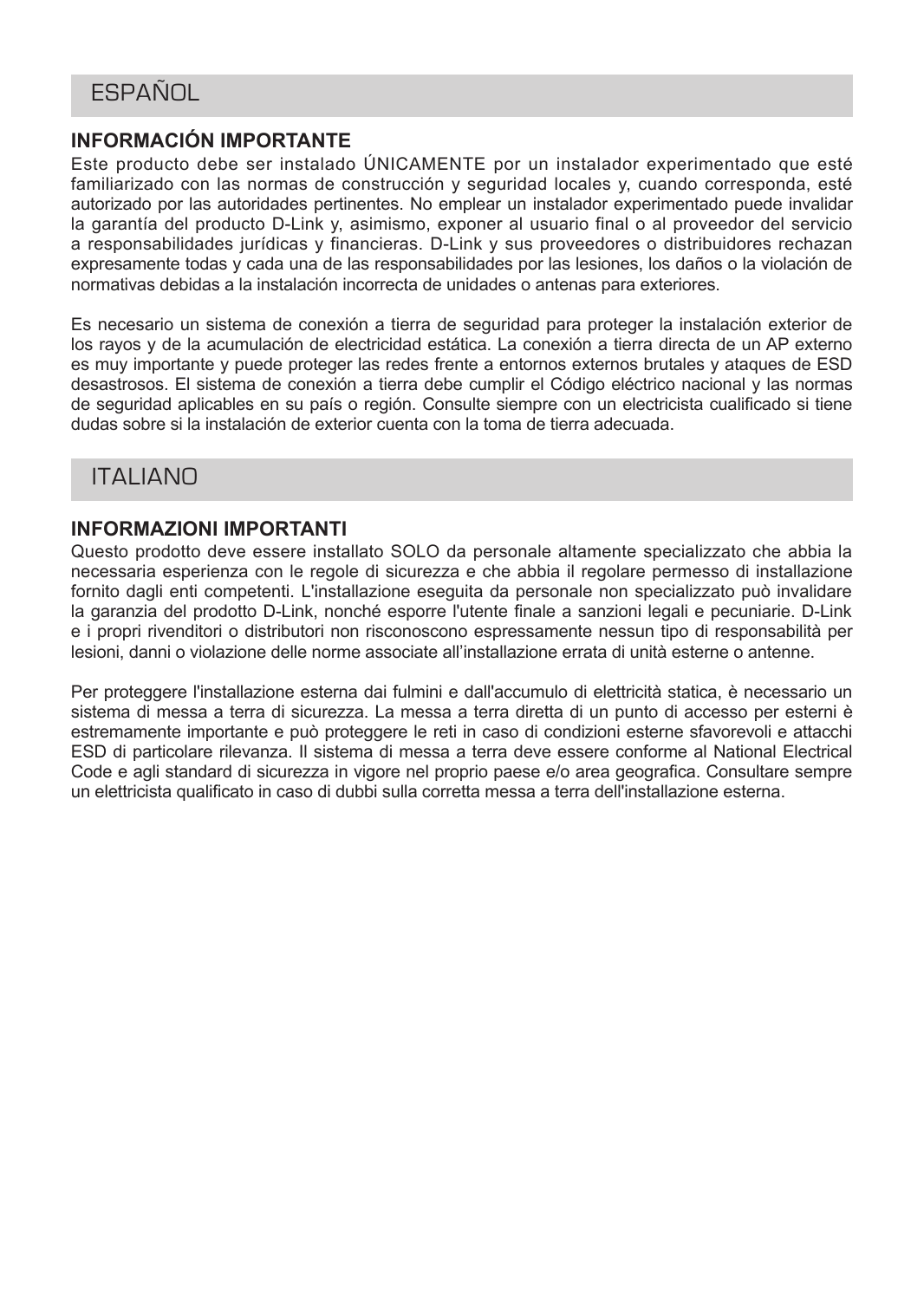## **ESPAÑOL**

## **INFORMACIÓN IMPORTANTE**

Este producto debe ser instalado ÚNICAMENTE por un instalador experimentado que esté familiarizado con las normas de construcción y seguridad locales y, cuando corresponda, esté autorizado por las autoridades pertinentes. No emplear un instalador experimentado puede invalidar la garantía del producto D-Link y, asimismo, exponer al usuario final o al proveedor del servicio a responsabilidades jurídicas y financieras. D-Link y sus proveedores o distribuidores rechazan expresamente todas y cada una de las responsabilidades por las lesiones, los daños o la violación de normativas debidas a la instalación incorrecta de unidades o antenas para exteriores.

Es necesario un sistema de conexión a tierra de seguridad para proteger la instalación exterior de los rayos y de la acumulación de electricidad estática. La conexión a tierra directa de un AP externo es muy importante y puede proteger las redes frente a entornos externos brutales y ataques de ESD desastrosos. El sistema de conexión a tierra debe cumplir el Código eléctrico nacional y las normas de seguridad aplicables en su país o región. Consulte siempre con un electricista cualificado si tiene dudas sobre si la instalación de exterior cuenta con la toma de tierra adecuada.

## ITALIANO

#### **INFORMAZIONI IMPORTANTI**

Questo prodotto deve essere installato SOLO da personale altamente specializzato che abbia la necessaria esperienza con le regole di sicurezza e che abbia il regolare permesso di installazione fornito dagli enti competenti. L'installazione eseguita da personale non specializzato può invalidare la garanzia del prodotto D-Link, nonché esporre l'utente finale a sanzioni legali e pecuniarie. D-Link e i propri rivenditori o distributori non risconoscono espressamente nessun tipo di responsabilità per lesioni, danni o violazione delle norme associate all'installazione errata di unità esterne o antenne.

Per proteggere l'installazione esterna dai fulmini e dall'accumulo di elettricità statica, è necessario un sistema di messa a terra di sicurezza. La messa a terra diretta di un punto di accesso per esterni è estremamente importante e può proteggere le reti in caso di condizioni esterne sfavorevoli e attacchi ESD di particolare rilevanza. Il sistema di messa a terra deve essere conforme al National Electrical Code e agli standard di sicurezza in vigore nel proprio paese e/o area geografica. Consultare sempre un elettricista qualificato in caso di dubbi sulla corretta messa a terra dell'installazione esterna.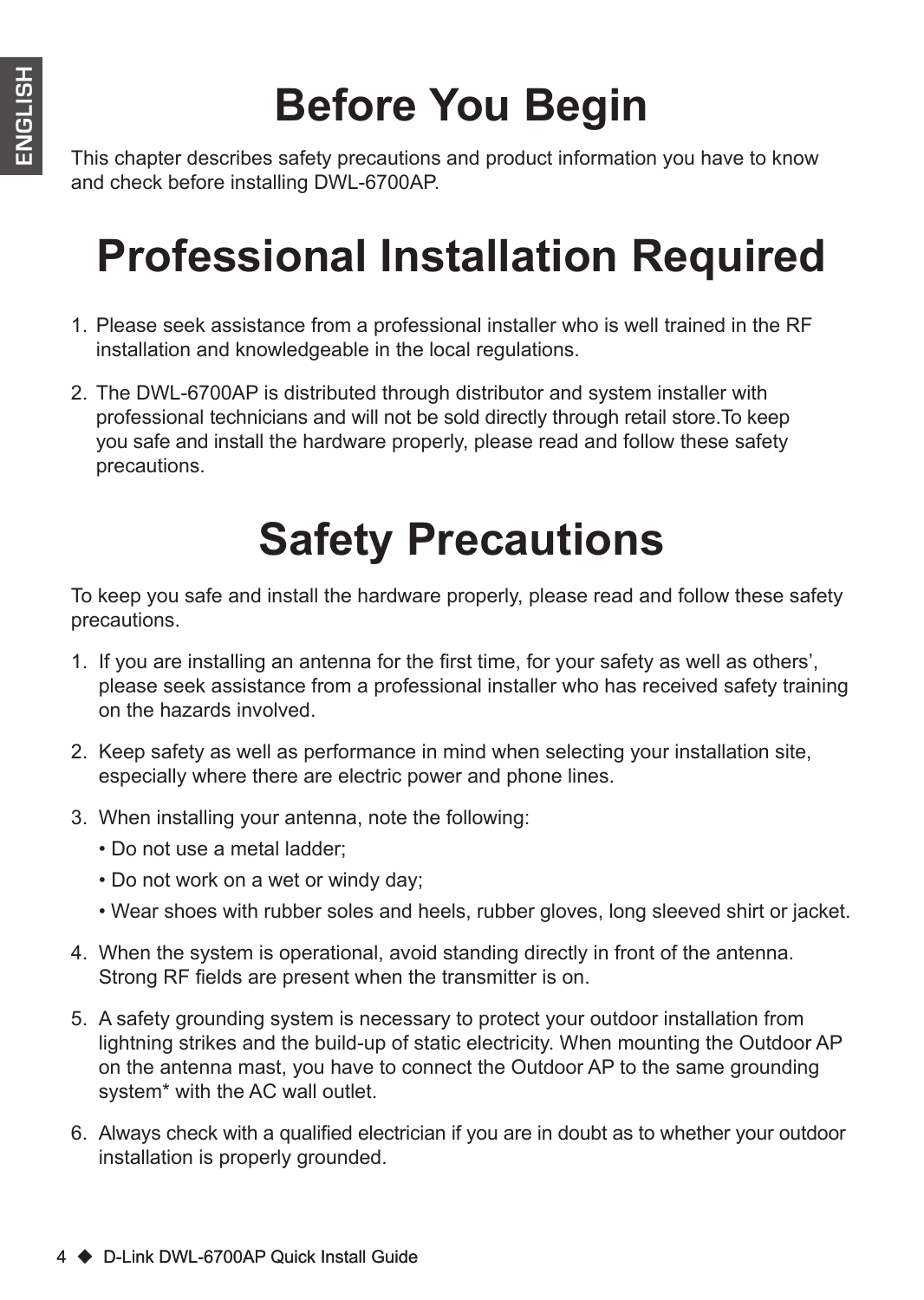# **Before You Begin**

This chapter describes safety precautions and product information you have to know and check before installing DWL-6700AP.

# **Professional Installation Required**

- 1. Please seek assistance from a professional installer who is well trained in the RF installation and knowledgeable in the local regulations.
- 2. The DWL-6700AP is distributed through distributor and system installer with professional technicians and will not be sold directly through retail store.To keep you safe and install the hardware properly, please read and follow these safety precautions.

# **Safety Precautions**

To keep you safe and install the hardware properly, please read and follow these safety precautions.

- 1. If you are installing an antenna for the first time, for your safety as well as others', please seek assistance from a professional installer who has received safety training on the hazards involved.
- 2. Keep safety as well as performance in mind when selecting your installation site, especially where there are electric power and phone lines.
- 3. When installing your antenna, note the following:
	- Do not use a metal ladder;
	- Do not work on a wet or windy day;
	- Wear shoes with rubber soles and heels, rubber gloves, long sleeved shirt or jacket.
- 4. When the system is operational, avoid standing directly in front of the antenna. Strong RF fields are present when the transmitter is on.
- 5. A safety grounding system is necessary to protect your outdoor installation from lightning strikes and the build-up of static electricity. When mounting the Outdoor AP on the antenna mast, you have to connect the Outdoor AP to the same grounding system\* with the AC wall outlet.
- 6. Always check with a qualified electrician if you are in doubt as to whether your outdoor installation is properly grounded.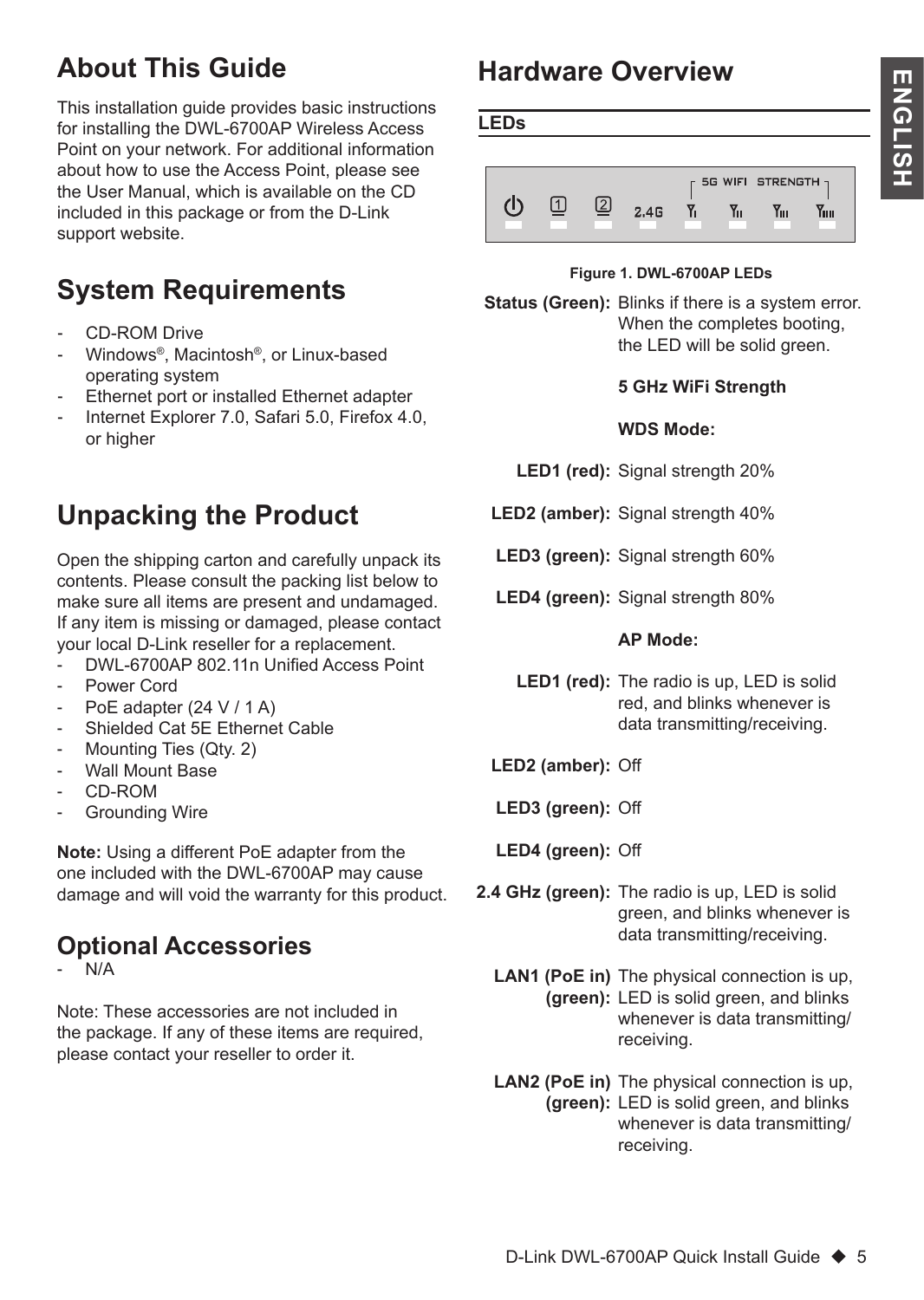# **About This Guide**

This installation guide provides basic instructions for installing the DWL-6700AP Wireless Access Point on your network. For additional information about how to use the Access Point, please see the User Manual, which is available on the CD included in this package or from the D-Link support website.

# **System Requirements**

- CD-ROM Drive
- Windows®. Macintosh®, or Linux-based operating system
- Ethernet port or installed Ethernet adapter
- Internet Explorer 7.0, Safari 5.0, Firefox 4.0, or higher

# **Unpacking the Product**

Open the shipping carton and carefully unpack its contents. Please consult the packing list below to make sure all items are present and undamaged. If any item is missing or damaged, please contact your local D-Link reseller for a replacement.

- DWL-6700AP 802.11n Unified Access Point
- Power Cord
- PoE adapter  $(24 V / 1 A)$
- Shielded Cat 5E Ethernet Cable
- Mounting Ties (Qtv. 2)
- Wall Mount Base
- CD-ROM
- Grounding Wire

**Note:** Using a different PoE adapter from the one included with the DWL-6700AP may cause damage and will void the warranty for this product.

## **Optional Accessories**

 $N/A$ 

Note: These accessories are not included in the package. If any of these items are required, please contact your reseller to order it.

# **Hardware Overview**



#### **Figure 1. DWL-6700AP LEDs**

**Status (Green):** Blinks if there is a system error. When the completes booting, the LED will be solid green.

#### **5 GHz WiFi Strength**

#### **WDS Mode:**

- **LED1 (red):** Signal strength 20%
- **LED2 (amber):** Signal strength 40%
- **LED3 (green):** Signal strength 60%
- **LED4 (green):** Signal strength 80%

#### **AP Mode:**

- **LED1 (red):** The radio is up, LED is solid red, and blinks whenever is data transmitting/receiving.
- **LED2 (amber):** Off
- **LED3 (green):** Off
- **LED4 (green):** Off
- **2.4 GHz (green):** The radio is up, LED is solid green, and blinks whenever is data transmitting/receiving.
	- **LAN1 (PoE in)** The physical connection is up, **(green):** LED is solid green, and blinks whenever is data transmitting/ receiving.
	- **LAN2 (PoE in)** The physical connection is up, **(green):** LED is solid green, and blinks whenever is data transmitting/ receiving.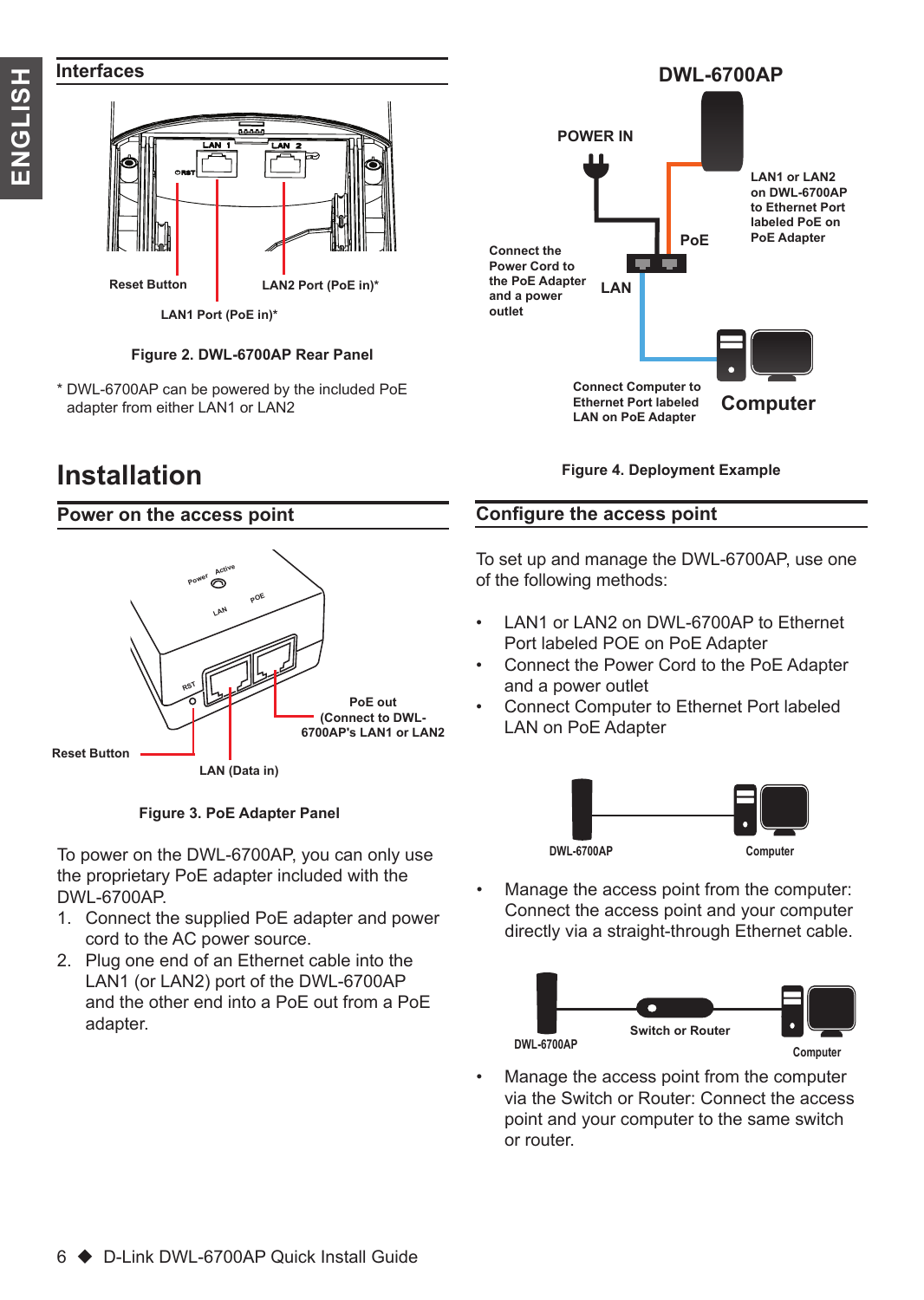

#### **Interfaces**



**Figure 2. DWL-6700AP Rear Panel**

\* DWL-6700AP can be powered by the included PoE adapter from either LAN1 or LAN2

## **Installation**

#### **Power on the access point**





To power on the DWL-6700AP, you can only use the proprietary PoE adapter included with the DWL-6700AP.

- 1. Connect the supplied PoE adapter and power cord to the AC power source.
- 2. Plug one end of an Ethernet cable into the LAN1 (or LAN2) port of the DWL-6700AP and the other end into a PoE out from a PoE adapter.



**Figure 4. Deployment Example**

#### **Configure the access point**

To set up and manage the DWL-6700AP, use one of the following methods:

- LAN1 or LAN2 on DWL-6700AP to Ethernet Port labeled POE on PoE Adapter
- Connect the Power Cord to the PoE Adapter and a power outlet
- Connect Computer to Ethernet Port labeled LAN on PoE Adapter



• Manage the access point from the computer: Connect the access point and your computer directly via a straight-through Ethernet cable.



• Manage the access point from the computer via the Switch or Router: Connect the access point and your computer to the same switch or router.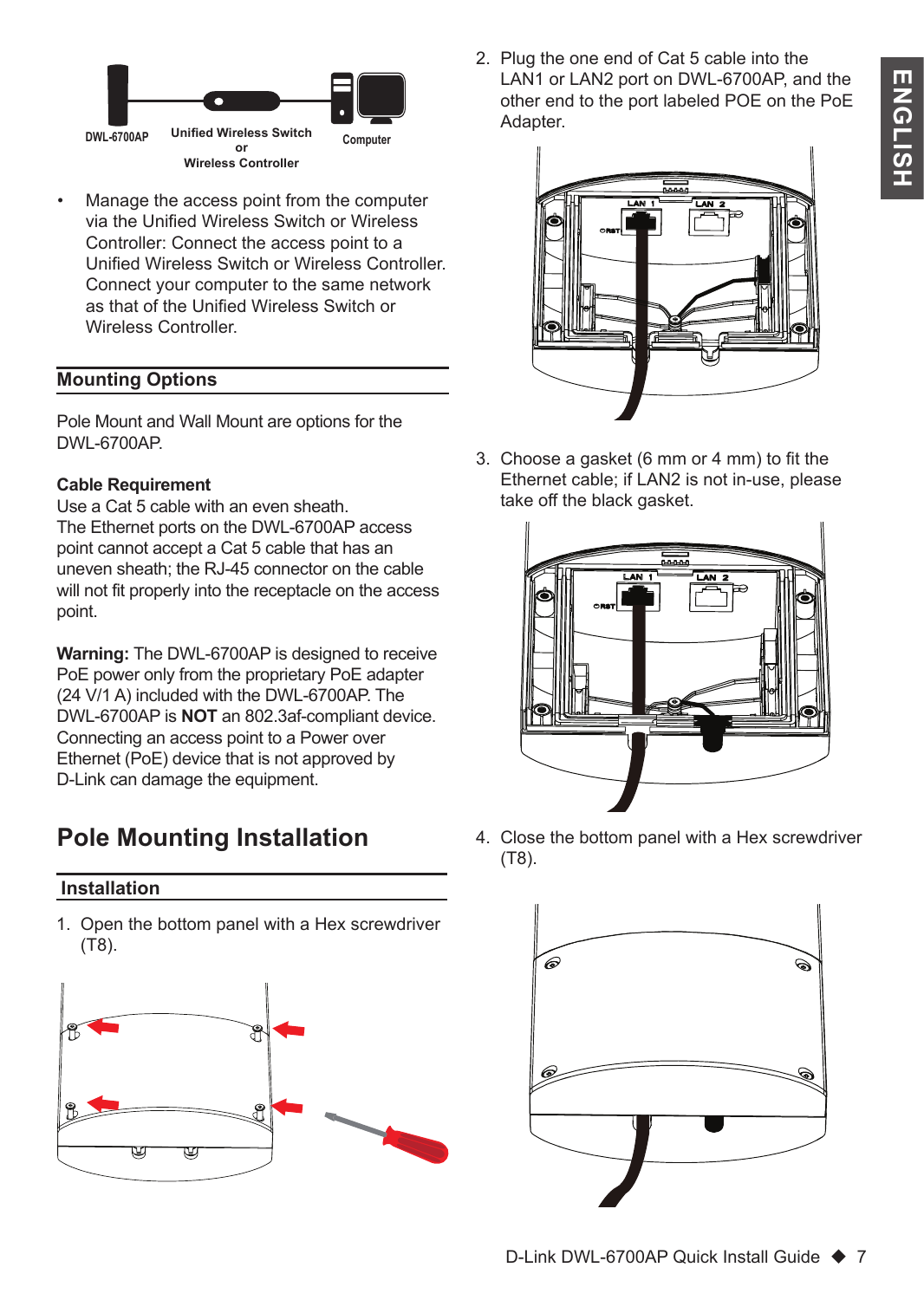

• Manage the access point from the computer via the Unified Wireless Switch or Wireless Controller: Connect the access point to a Unified Wireless Switch or Wireless Controller. Connect your computer to the same network as that of the Unified Wireless Switch or Wireless Controller.

#### **Mounting Options**

Pole Mount and Wall Mount are options for the DWL-6700AP.

#### **Cable Requirement**

Use a Cat 5 cable with an even sheath. The Ethernet ports on the DWL-6700AP access point cannot accept a Cat 5 cable that has an uneven sheath; the RJ-45 connector on the cable will not fit properly into the receptacle on the access point.

**Warning:** The DWL-6700AP is designed to receive PoE power only from the proprietary PoE adapter (24 V/1 A) included with the DWL-6700AP. The DWL-6700AP is **NOT** an 802.3af-compliant device. Connecting an access point to a Power over Ethernet (PoE) device that is not approved by D-Link can damage the equipment.

## **Pole Mounting Installation**

#### **Installation**

1. Open the bottom panel with a Hex screwdriver (T8).



2. Plug the one end of Cat 5 cable into the LAN1 or LAN2 port on DWL-6700AP, and the other end to the port labeled POE on the PoE Adapter.



3. Choose a gasket (6 mm or 4 mm) to fit the Ethernet cable; if LAN2 is not in-use, please take off the black gasket.



4. Close the bottom panel with a Hex screwdriver (T8).

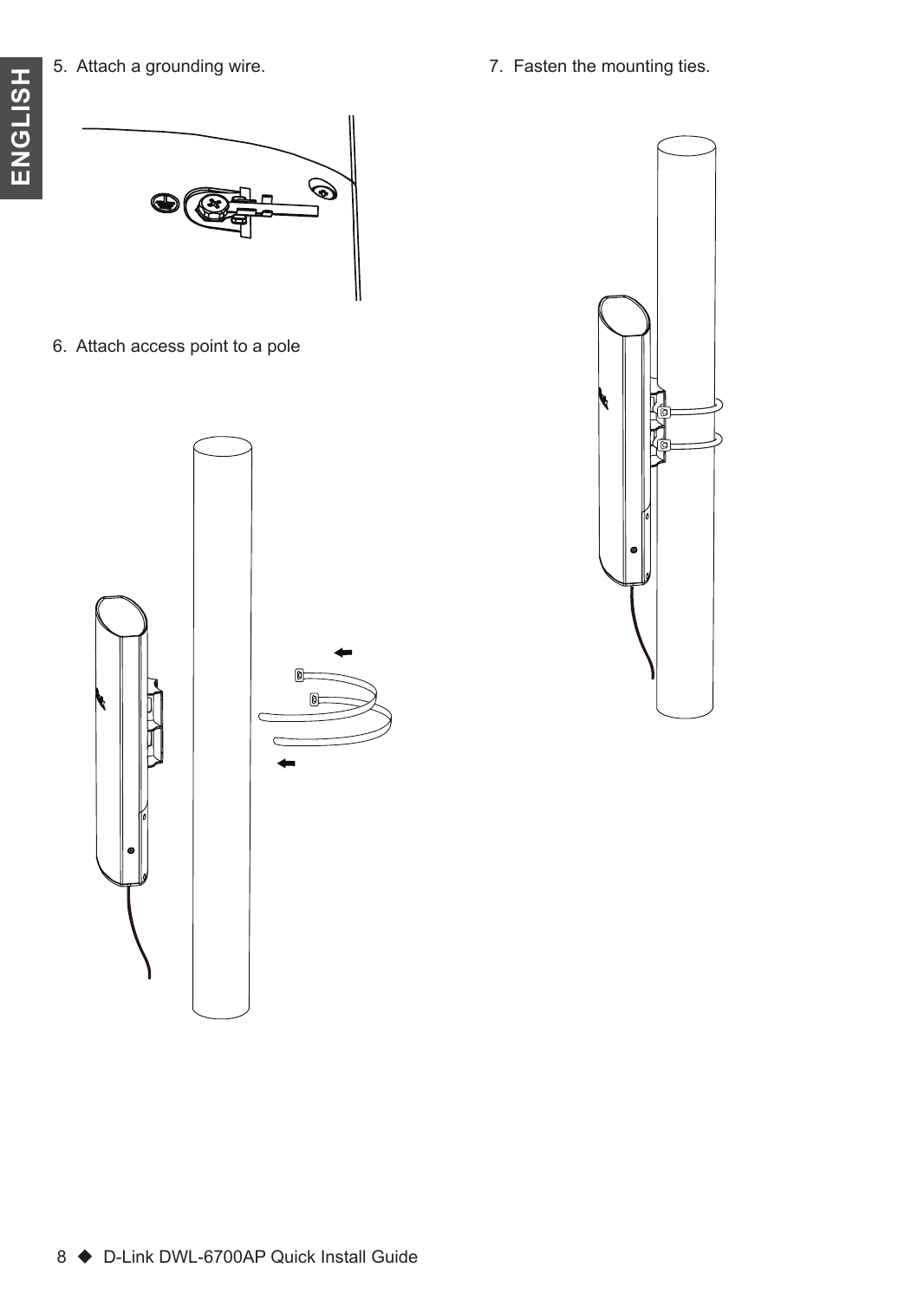7. Fasten the mounting ties.



6. Attach access point to a pole



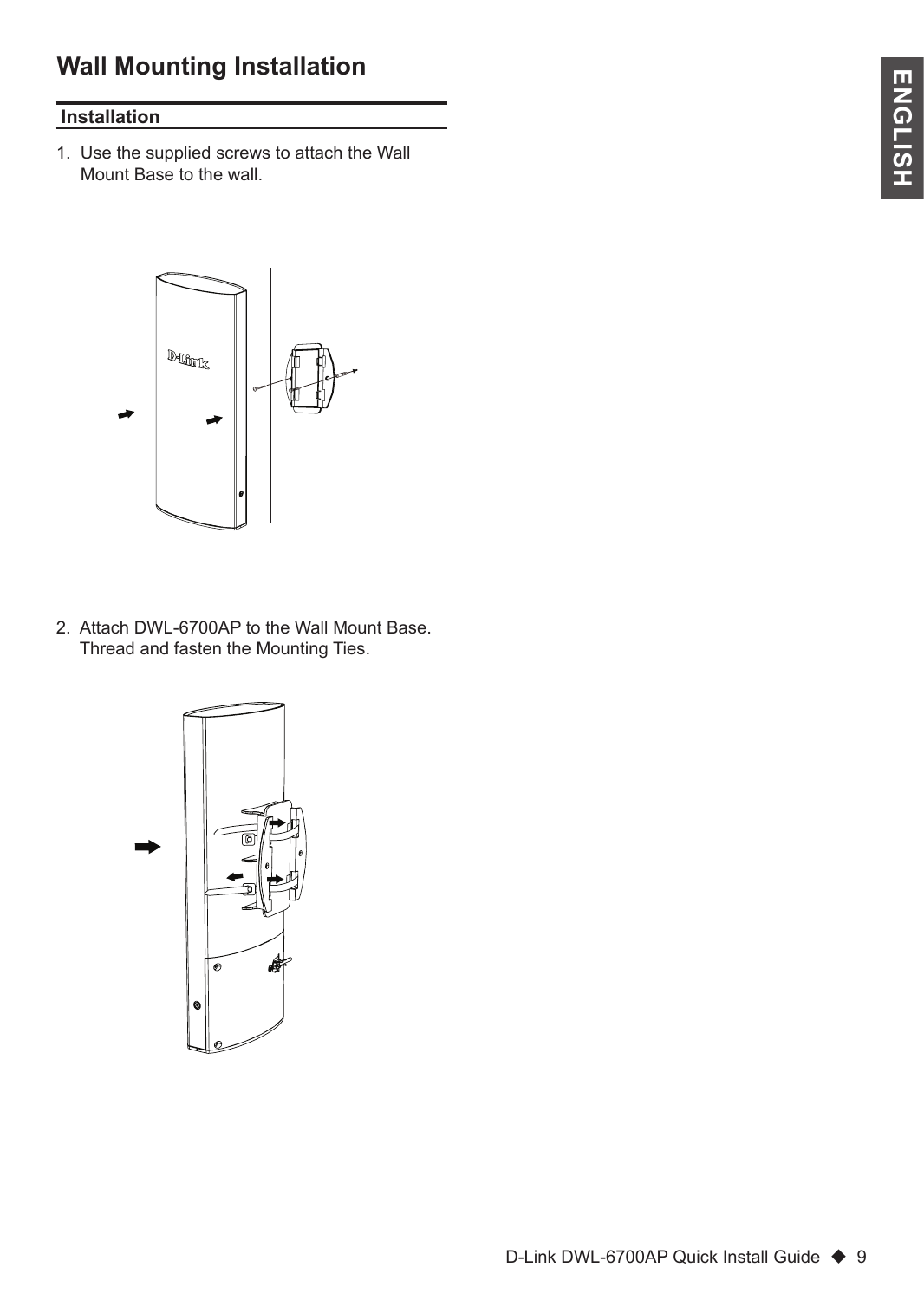## **Wall Mounting Installation**

### **Installation**

1. Use the supplied screws to attach the Wall Mount Base to the wall.



2. Attach DWL-6700AP to the Wall Mount Base. Thread and fasten the Mounting Ties.

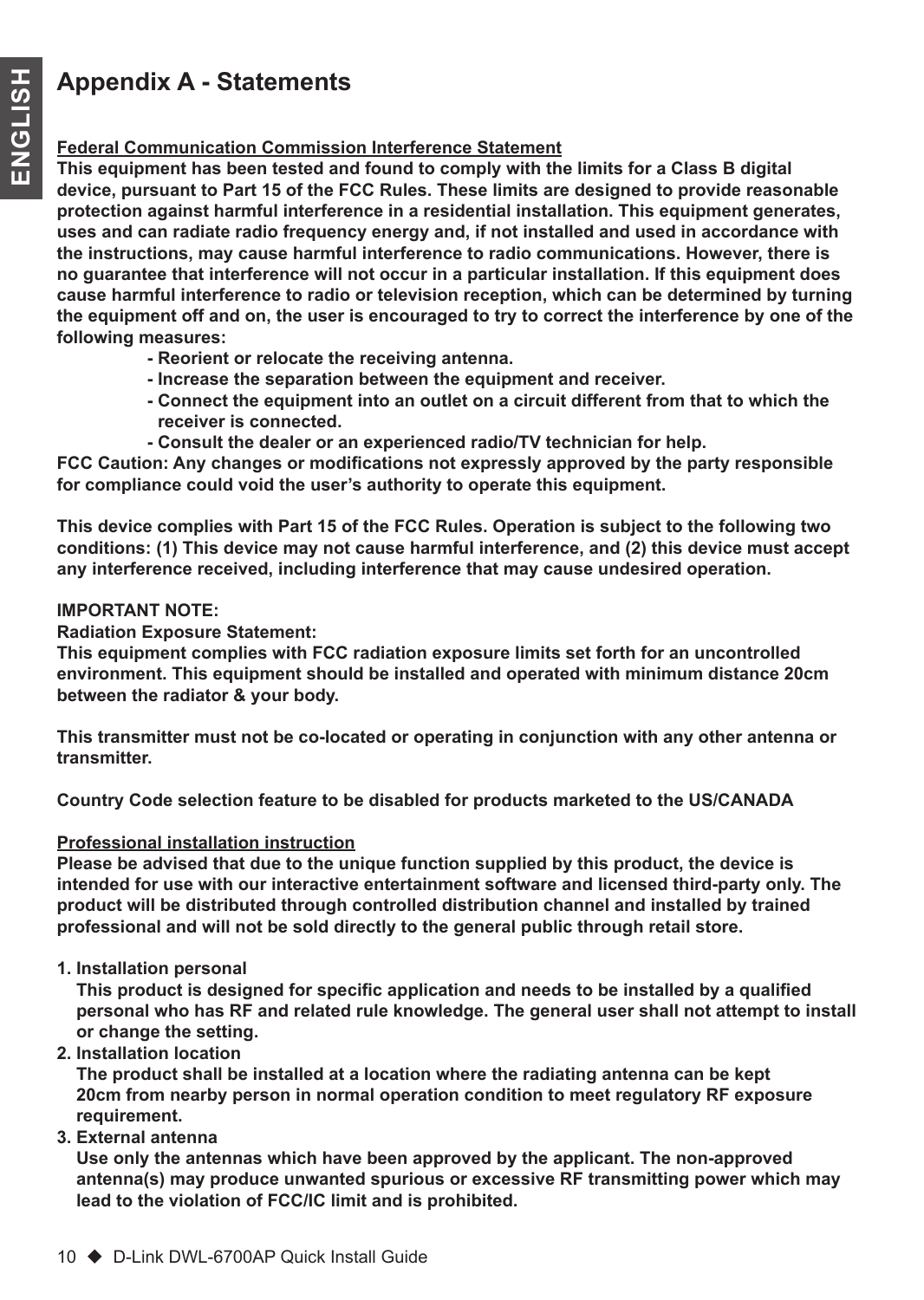## **Appendix A - Statements**

#### **Federal Communication Commission Interference Statement**

**This equipment has been tested and found to comply with the limits for a Class B digital device, pursuant to Part 15 of the FCC Rules. These limits are designed to provide reasonable protection against harmful interference in a residential installation. This equipment generates, uses and can radiate radio frequency energy and, if not installed and used in accordance with the instructions, may cause harmful interference to radio communications. However, there is no guarantee that interference will not occur in a particular installation. If this equipment does cause harmful interference to radio or television reception, which can be determined by turning the equipment off and on, the user is encouraged to try to correct the interference by one of the following measures:**

- **Reorient or relocate the receiving antenna.**
- **Increase the separation between the equipment and receiver.**
- **Connect the equipment into an outlet on a circuit different from that to which the receiver is connected.**
- **Consult the dealer or an experienced radio/TV technician for help.**

**FCC Caution: Any changes or modifications not expressly approved by the party responsible for compliance could void the user's authority to operate this equipment.**

**This device complies with Part 15 of the FCC Rules. Operation is subject to the following two conditions: (1) This device may not cause harmful interference, and (2) this device must accept any interference received, including interference that may cause undesired operation.**

#### **IMPORTANT NOTE:**

**Radiation Exposure Statement:**

**This equipment complies with FCC radiation exposure limits set forth for an uncontrolled environment. This equipment should be installed and operated with minimum distance 20cm between the radiator & your body.**

**This transmitter must not be co-located or operating in conjunction with any other antenna or transmitter.**

**Country Code selection feature to be disabled for products marketed to the US/CANADA**

#### **Professional installation instruction**

**Please be advised that due to the unique function supplied by this product, the device is intended for use with our interactive entertainment software and licensed third-party only. The product will be distributed through controlled distribution channel and installed by trained professional and will not be sold directly to the general public through retail store.**

**1. Installation personal** 

 **This product is designed for specific application and needs to be installed by a qualified personal who has RF and related rule knowledge. The general user shall not attempt to install or change the setting.**

**2. Installation location** 

 **The product shall be installed at a location where the radiating antenna can be kept 20cm from nearby person in normal operation condition to meet regulatory RF exposure requirement.**

**3. External antenna** 

 **Use only the antennas which have been approved by the applicant. The non-approved antenna(s) may produce unwanted spurious or excessive RF transmitting power which may lead to the violation of FCC/IC limit and is prohibited.**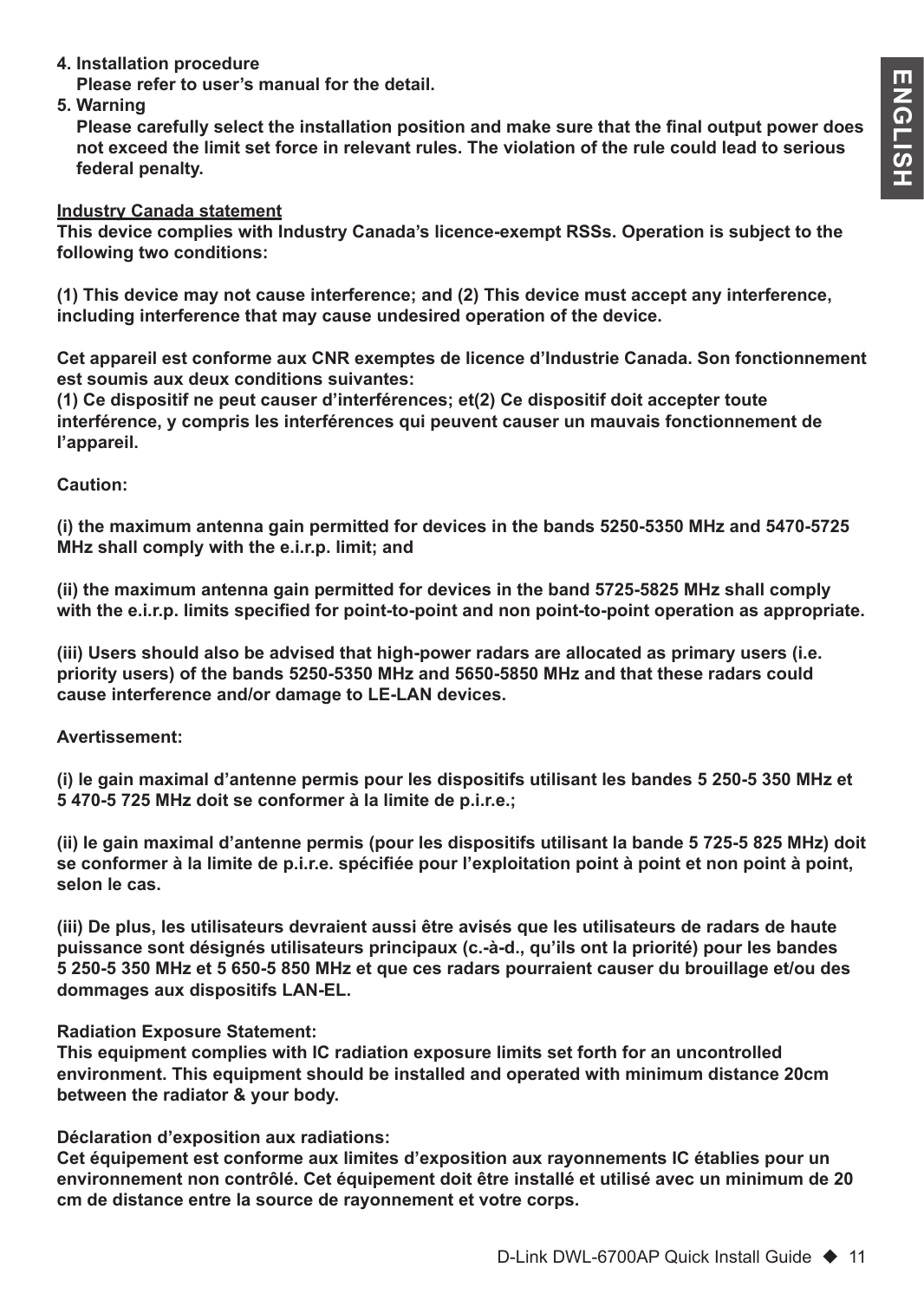**4. Installation procedure** 

 **Please refer to user's manual for the detail.**

**5. Warning** 

 **Please carefully select the installation position and make sure that the final output power does not exceed the limit set force in relevant rules. The violation of the rule could lead to serious federal penalty.**

#### **Industry Canada statement**

**This device complies with Industry Canada's licence-exempt RSSs. Operation is subject to the following two conditions:** 

**(1) This device may not cause interference; and (2) This device must accept any interference, including interference that may cause undesired operation of the device.** 

**Cet appareil est conforme aux CNR exemptes de licence d'Industrie Canada. Son fonctionnement est soumis aux deux conditions suivantes:**

**(1) Ce dispositif ne peut causer d'interférences; et(2) Ce dispositif doit accepter toute interférence, y compris les interférences qui peuvent causer un mauvais fonctionnement de l'appareil.**

#### **Caution:**

**(i) the maximum antenna gain permitted for devices in the bands 5250-5350 MHz and 5470-5725 MHz shall comply with the e.i.r.p. limit; and**

**(ii) the maximum antenna gain permitted for devices in the band 5725-5825 MHz shall comply with the e.i.r.p. limits specified for point-to-point and non point-to-point operation as appropriate.**

**(iii) Users should also be advised that high-power radars are allocated as primary users (i.e. priority users) of the bands 5250-5350 MHz and 5650-5850 MHz and that these radars could cause interference and/or damage to LE-LAN devices.**

#### **Avertissement:**

**(i) le gain maximal d'antenne permis pour les dispositifs utilisant les bandes 5 250-5 350 MHz et 5 470-5 725 MHz doit se conformer à la limite de p.i.r.e.;**

**(ii) le gain maximal d'antenne permis (pour les dispositifs utilisant la bande 5 725-5 825 MHz) doit se conformer à la limite de p.i.r.e. spécifiée pour l'exploitation point à point et non point à point, selon le cas.**

**(iii) De plus, les utilisateurs devraient aussi être avisés que les utilisateurs de radars de haute puissance sont désignés utilisateurs principaux (c.-à-d., qu'ils ont la priorité) pour les bandes 5 250-5 350 MHz et 5 650-5 850 MHz et que ces radars pourraient causer du brouillage et/ou des dommages aux dispositifs LAN-EL.**

#### **Radiation Exposure Statement:**

**This equipment complies with IC radiation exposure limits set forth for an uncontrolled environment. This equipment should be installed and operated with minimum distance 20cm between the radiator & your body.**

#### **Déclaration d'exposition aux radiations:**

**Cet équipement est conforme aux limites d'exposition aux rayonnements IC établies pour un environnement non contrôlé. Cet équipement doit être installé et utilisé avec un minimum de 20 cm de distance entre la source de rayonnement et votre corps.**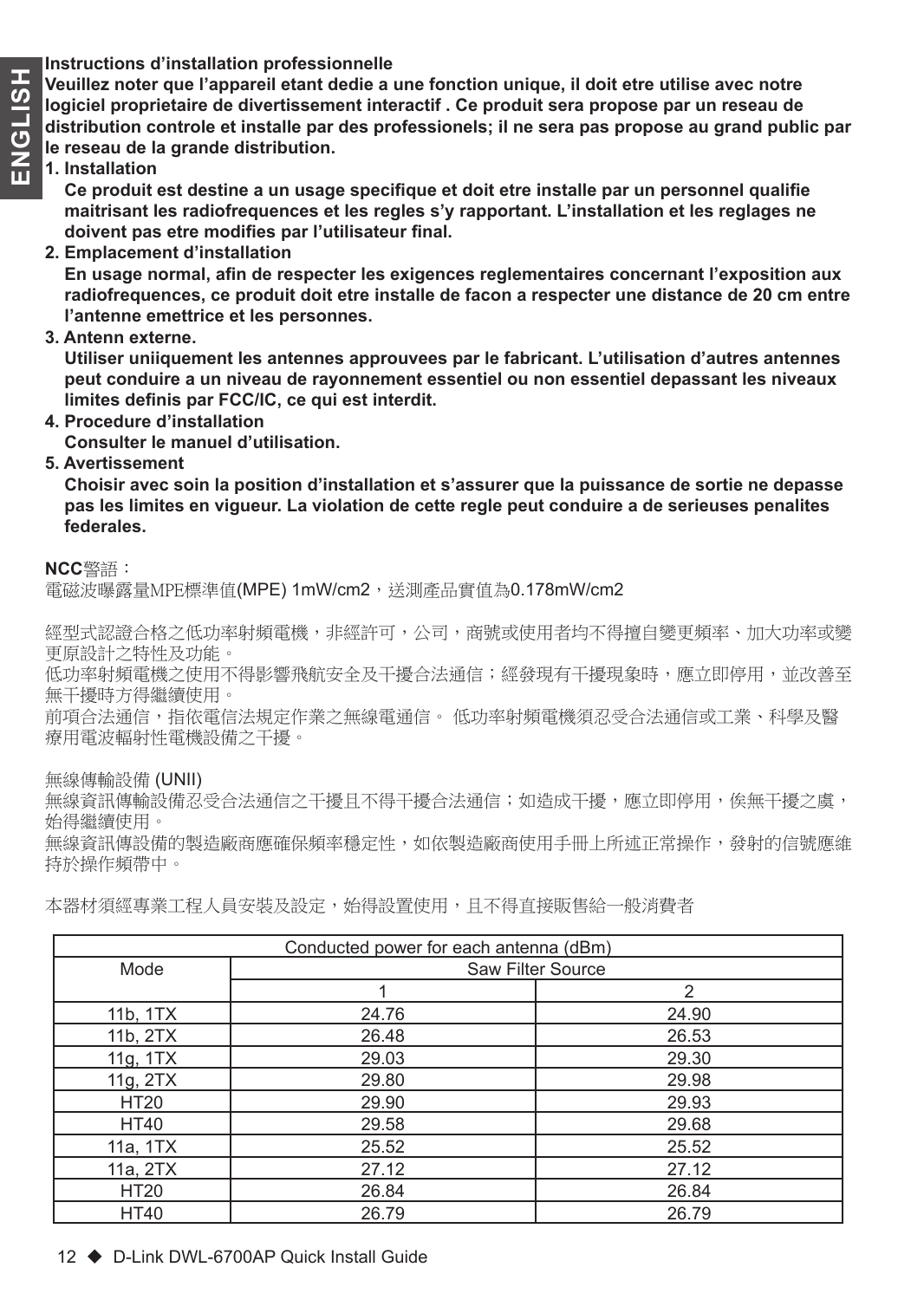**ENGLISHER INSTED SE ENGLISHER STATES DE Veuillez noter que l'appareil etant dedie a<br>
<b>CONFINSTER DE L'AUGUE DE CONFINSTER d'AUGUE d'AUGUE d'AUGUE d'AUGUE de divertissement inte<br>
<b>CONFINSTER DE LE RESSEU DE LE RESSEU DE LE Veuillez noter que l'appareil etant dedie a une fonction unique, il doit etre utilise avec notre logiciel proprietaire de divertissement interactif . Ce produit sera propose par un reseau de distribution controle et installe par des professionels; il ne sera pas propose au grand public par le reseau de la grande distribution.**

#### **1. Installation**

 **Ce produit est destine a un usage specifique et doit etre installe par un personnel qualifie maitrisant les radiofrequences et les regles s'y rapportant. L'installation et les reglages ne doivent pas etre modifies par l'utilisateur final.**

**2. Emplacement d'installation**

 **En usage normal, afin de respecter les exigences reglementaires concernant l'exposition aux radiofrequences, ce produit doit etre installe de facon a respecter une distance de 20 cm entre l'antenne emettrice et les personnes.**

**3. Antenn externe.**

 **Utiliser uniiquement les antennes approuvees par le fabricant. L'utilisation d'autres antennes peut conduire a un niveau de rayonnement essentiel ou non essentiel depassant les niveaux limites definis par FCC/IC, ce qui est interdit.**

**4. Procedure d'installation**

 **Consulter le manuel d'utilisation.**

**5. Avertissement**

 **Choisir avec soin la position d'installation et s'assurer que la puissance de sortie ne depasse pas les limites en vigueur. La violation de cette regle peut conduire a de serieuses penalites federales.**

#### **NCC**警語:

電磁波曝露量MPE標準值(MPE) 1mW/cm2,送測產品實值為0.178mW/cm2

經型式認證合格之低功率射頻電機,非經許可,公司,商號或使用者均不得擅自變更頻率、加大功率或變 更原設計之特性及功能。

低功率射頻電機之使用不得影響飛航安全及干擾合法通信;經發現有干擾現象時,應立即停用,並改善至 無干擾時方得繼續使用。

前項合法通信,指依電信法規定作業之無線電通信。 低功率射頻電機須忍受合法通信或工業、科學及醫 療用電波輻射性電機設備之干擾。

無線傳輸設備 (UNII)

無線資訊傳輸設備忍受合法通信之干擾且不得干擾合法通信;如造成干擾,應立即停用,俟無干擾之虞, 始得繼續使用。

無線資訊傳設備的製造廠商應確保頻率穩定性,如依製造廠商使用手冊上所述正常操作,發射的信號應維 持於操作頻帶中。

| Conducted power for each antenna (dBm) |                   |               |
|----------------------------------------|-------------------|---------------|
| Mode                                   | Saw Filter Source |               |
|                                        |                   | $\mathcal{P}$ |
| 11b, 1TX                               | 24.76             | 24.90         |
| 11b, 2TX                               | 26.48             | 26.53         |
| 11g, 1TX                               | 29.03             | 29.30         |
| 11g, 2TX                               | 29.80             | 29.98         |
| <b>HT20</b>                            | 29.90             | 29.93         |
| <b>HT40</b>                            | 29.58             | 29.68         |
| 11a, 1TX                               | 25.52             | 25.52         |
| 11a, 2TX                               | 27.12             | 27.12         |
| <b>HT20</b>                            | 26.84             | 26.84         |
| <b>HT40</b>                            | 26.79             | 26.79         |

本器材須經專業工程人員安裝及設定,始得設置使用,且不得直接販售給一般消費者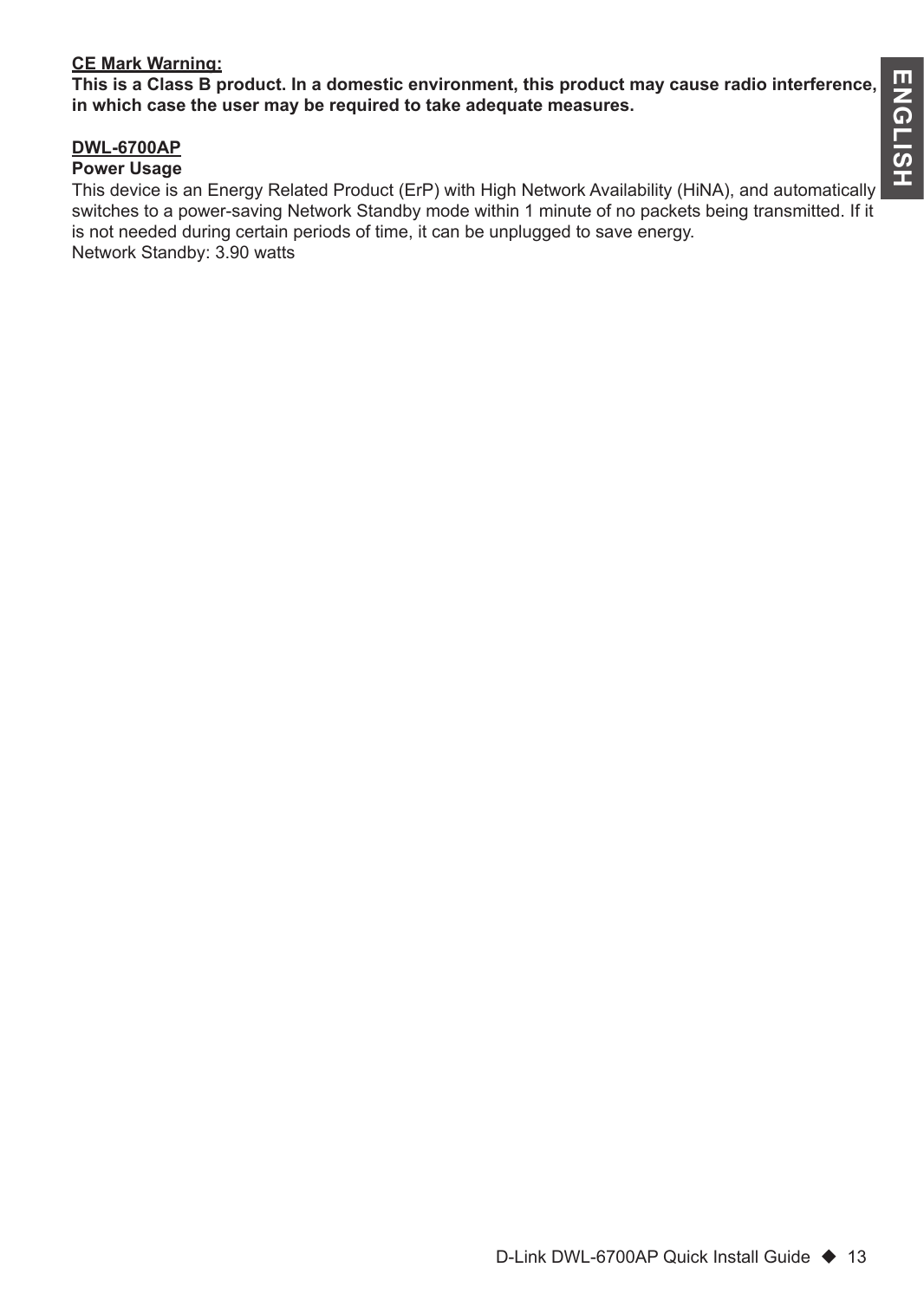#### **CE Mark Warning:**

**This is a Class B product. In a domestic environment, this product may cause radio interference, in which case the user may be required to take adequate measures.**

#### **DWL-6700AP**

#### **Power Usage**

This device is an Energy Related Product (ErP) with High Network Availability (HiNA), and automatically switches to a power-saving Network Standby mode within 1 minute of no packets being transmitted. If it is not needed during certain periods of time, it can be unplugged to save energy. Network Standby: 3.90 watts